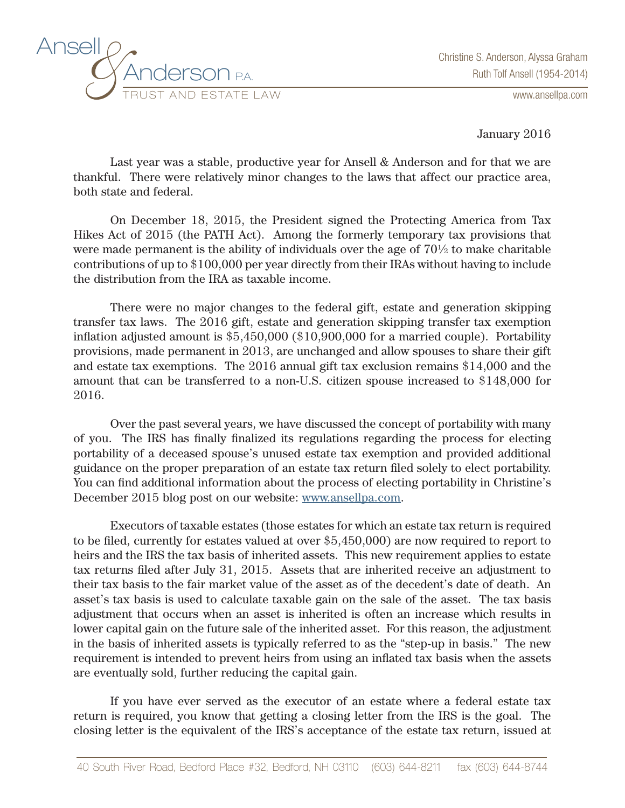

www.ansellpa.com

January 2016

Last year was a stable, productive year for Ansell & Anderson and for that we are thankful. There were relatively minor changes to the laws that affect our practice area, both state and federal.

On December 18, 2015, the President signed the Protecting America from Tax Hikes Act of 2015 (the PATH Act). Among the formerly temporary tax provisions that were made permanent is the ability of individuals over the age of 70½ to make charitable contributions of up to \$100,000 per year directly from their IRAs without having to include the distribution from the IRA as taxable income.

There were no major changes to the federal gift, estate and generation skipping transfer tax laws. The 2016 gift, estate and generation skipping transfer tax exemption inflation adjusted amount is \$5,450,000 (\$10,900,000 for a married couple). Portability provisions, made permanent in 2013, are unchanged and allow spouses to share their gift and estate tax exemptions. The 2016 annual gift tax exclusion remains \$14,000 and the amount that can be transferred to a non-U.S. citizen spouse increased to \$148,000 for 2016.

Over the past several years, we have discussed the concept of portability with many of you. The IRS has finally finalized its regulations regarding the process for electing portability of a deceased spouse's unused estate tax exemption and provided additional guidance on the proper preparation of an estate tax return filed solely to elect portability. You can find additional information about the process of electing portability in Christine's December 2015 blog post on our website: www.ansellpa.com.

Executors of taxable estates (those estates for which an estate tax return is required to be filed, currently for estates valued at over \$5,450,000) are now required to report to heirs and the IRS the tax basis of inherited assets. This new requirement applies to estate tax returns filed after July 31, 2015. Assets that are inherited receive an adjustment to their tax basis to the fair market value of the asset as of the decedent's date of death. An asset's tax basis is used to calculate taxable gain on the sale of the asset. The tax basis adjustment that occurs when an asset is inherited is often an increase which results in lower capital gain on the future sale of the inherited asset. For this reason, the adjustment in the basis of inherited assets is typically referred to as the "step-up in basis." The new requirement is intended to prevent heirs from using an inflated tax basis when the assets are eventually sold, further reducing the capital gain.

If you have ever served as the executor of an estate where a federal estate tax return is required, you know that getting a closing letter from the IRS is the goal. The closing letter is the equivalent of the IRS's acceptance of the estate tax return, issued at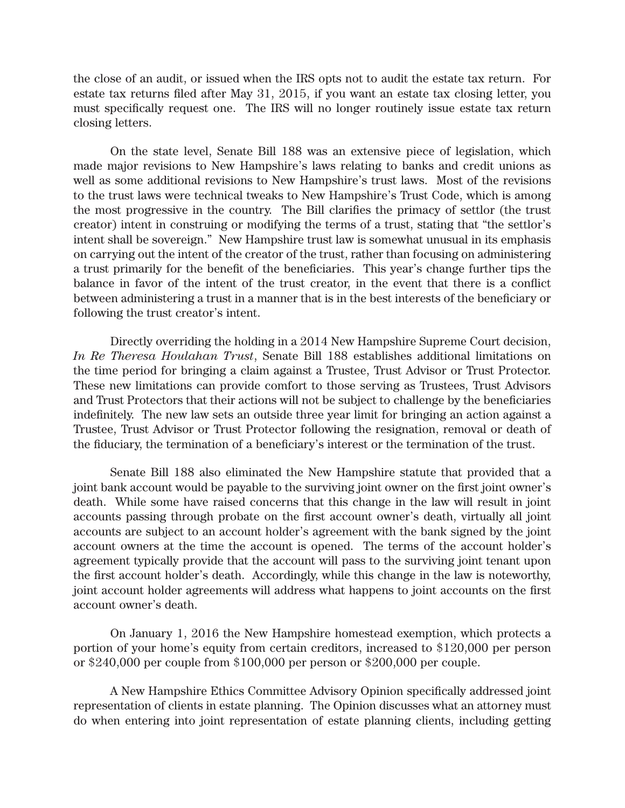the close of an audit, or issued when the IRS opts not to audit the estate tax return. For estate tax returns filed after May 31, 2015, if you want an estate tax closing letter, you must specifically request one. The IRS will no longer routinely issue estate tax return closing letters.

On the state level, Senate Bill 188 was an extensive piece of legislation, which made major revisions to New Hampshire's laws relating to banks and credit unions as well as some additional revisions to New Hampshire's trust laws. Most of the revisions to the trust laws were technical tweaks to New Hampshire's Trust Code, which is among the most progressive in the country. The Bill clarifies the primacy of settlor (the trust creator) intent in construing or modifying the terms of a trust, stating that "the settlor's intent shall be sovereign." New Hampshire trust law is somewhat unusual in its emphasis on carrying out the intent of the creator of the trust, rather than focusing on administering a trust primarily for the benefit of the beneficiaries. This year's change further tips the balance in favor of the intent of the trust creator, in the event that there is a conflict between administering a trust in a manner that is in the best interests of the beneficiary or following the trust creator's intent.

Directly overriding the holding in a 2014 New Hampshire Supreme Court decision, *In Re Theresa Houlahan Trust*, Senate Bill 188 establishes additional limitations on the time period for bringing a claim against a Trustee, Trust Advisor or Trust Protector. These new limitations can provide comfort to those serving as Trustees, Trust Advisors and Trust Protectors that their actions will not be subject to challenge by the beneficiaries indefinitely. The new law sets an outside three year limit for bringing an action against a Trustee, Trust Advisor or Trust Protector following the resignation, removal or death of the fiduciary, the termination of a beneficiary's interest or the termination of the trust.

Senate Bill 188 also eliminated the New Hampshire statute that provided that a joint bank account would be payable to the surviving joint owner on the first joint owner's death. While some have raised concerns that this change in the law will result in joint accounts passing through probate on the first account owner's death, virtually all joint accounts are subject to an account holder's agreement with the bank signed by the joint account owners at the time the account is opened. The terms of the account holder's agreement typically provide that the account will pass to the surviving joint tenant upon the first account holder's death. Accordingly, while this change in the law is noteworthy, joint account holder agreements will address what happens to joint accounts on the first account owner's death.

On January 1, 2016 the New Hampshire homestead exemption, which protects a portion of your home's equity from certain creditors, increased to \$120,000 per person or \$240,000 per couple from \$100,000 per person or \$200,000 per couple.

A New Hampshire Ethics Committee Advisory Opinion specifically addressed joint representation of clients in estate planning. The Opinion discusses what an attorney must do when entering into joint representation of estate planning clients, including getting